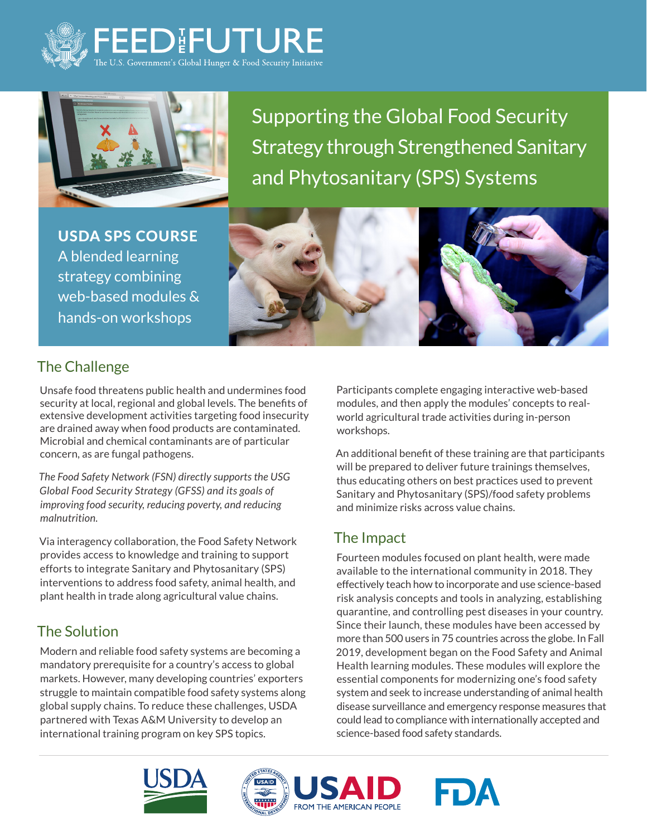



Supporting the Global Food Security Strategy through Strengthened Sanitary and Phytosanitary (SPS) Systems

USDA SPS COURSE A blended learning strategy combining web-based modules & hands-on workshops



## The Challenge

Unsafe food threatens public health and undermines food security at local, regional and global levels. The benefits of extensive development activities targeting food insecurity are drained away when food products are contaminated. Microbial and chemical contaminants are of particular concern, as are fungal pathogens.

*The Food Safety Network (FSN) directly supports the USG Global Food Security Strategy (GFSS) and its goals of improving food security, reducing poverty, and reducing malnutrition.* 

Via interagency collaboration, the Food Safety Network provides access to knowledge and training to support efforts to integrate Sanitary and Phytosanitary (SPS) interventions to address food safety, animal health, and plant health in trade along agricultural value chains.

### The Solution

Modern and reliable food safety systems are becoming a mandatory prerequisite for a country's access to global markets. However, many developing countries' exporters struggle to maintain compatible food safety systems along global supply chains. To reduce these challenges, USDA partnered with Texas A&M University to develop an international training program on key SPS topics.

Participants complete engaging interactive web-based modules, and then apply the modules' concepts to realworld agricultural trade activities during in-person workshops.

An additional benefit of these training are that participants will be prepared to deliver future trainings themselves, thus educating others on best practices used to prevent Sanitary and Phytosanitary (SPS)/food safety problems and minimize risks across value chains.

### The Impact

Fourteen modules focused on plant health, were made available to the international community in 2018. They effectively teach how to incorporate and use science-based risk analysis concepts and tools in analyzing, establishing quarantine, and controlling pest diseases in your country. Since their launch, these modules have been accessed by more than 500 users in 75 countries across the globe. In Fall 2019, development began on the Food Safety and Animal Health learning modules. These modules will explore the essential components for modernizing one's food safety system and seek to increase understanding of animal health disease surveillance and emergency response measures that could lead to compliance with internationally accepted and science-based food safety standards.